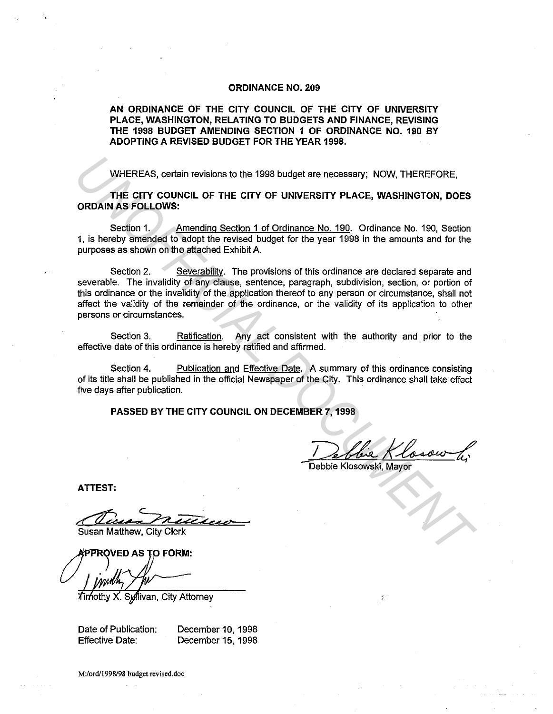## **ORDINANCE NO. 209**

## **AN ORDINANCE OF THE CITY COUNCIL OF THE CITY OF UNIVERSITY PLACE, WASHINGTON, RELATING TO BUDGETS AND FINANCE, REVISING THE 1998 BUDGET AMENDING SECTION 1 OF ORDINANCE NO. 190 BY ADOPTING A REVISED BUDGET FOR THE YEAR 1998.**

WHEREAS, certain revisions to the 1998 budget are necessary; NOW, THEREFORE,

**THE CITY COUNCIL OF THE CITY OF UNIVERSITY PLACE, WASHINGTON, DOES ORDAIN AS FOLLOWS:** 

Section 1. Amending Section 1 of Ordinance No. 190. Ordinance No. 190, Section 1, is hereby amended to adopt the revised budget for the year 1998 in the amounts and for the purposes as shown on the attached Exhibit A.

Section 2. Severability. The provisions of this ordinance are declared separate and severable. The invalidity of any clause, sentence, paragraph, subdivision, section, or portion of this ordinance or the invalidity of the application thereof to any person or circumstance, shall not affect the validity of the remainder of the ordinance, or the validity of its application to other persons or circumstances. WHEREAS, certain revisions to the 1998 budget are necessary; NOW, THEREFORE,<br>
THE CITY COUNCIL OF THE CITY OF UNIVERSITY PLACE, WASHINGTON, DOES<br>
ORDAIN AS FOLLOWS:<br>
Section 1.<br>
<u>Amending Section 1 of Ordinance No. 190</u>. O

Section 3. Ratification. Any act consistent with the authority and prior to the effective date of this ordinance is hereby ratified and affirmed.

Section 4. Publication and Effective Date. A summary of this ordinance consisting of its title shall be published in the official Newspaper of the City. This ordinance shall take effect five days after publication.

**PASSED BY THE CITY COUNCIL ON DECEMBER 7, 1998** 

Debbie Klosow 4;

**ATTEST:** 

Susan Matthew, City Clerk

**FPROVED AS TO FORM:** 

X. Syllivan, City Attorney

Date of Publication: Effective Date: December 10, 1998 December 15, 1998

**M:/ord/1998/98 budget revised.doc**